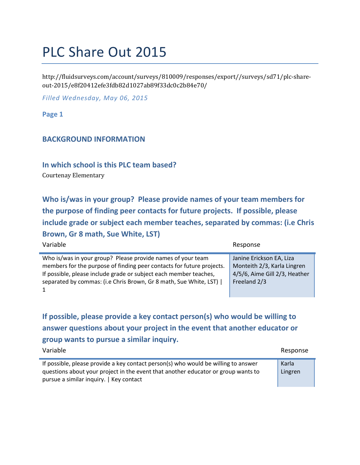# PLC Share Out 2015

http://fluidsurveys.com/account/surveys/810009/responses/export//surveys/sd71/plc-shareout-2015/e8f20412efe3fdb82d1027ab89f33dc0c2b84e70/

*Filled Wednesday, May 06, 2015*

**Page 1**

## **BACKGROUND INFORMATION**

**In which school is this PLC team based?**

Courtenay Elementary

**Who is/was in your group? Please provide names of your team members for the purpose of finding peer contacts for future projects. If possible, please include grade or subject each member teaches, separated by commas: (i.e Chris Brown, Gr 8 math, Sue White, LST)**

| Variable                                                              | Response                      |
|-----------------------------------------------------------------------|-------------------------------|
| Who is/was in your group? Please provide names of your team           | Janine Erickson EA, Liza      |
| members for the purpose of finding peer contacts for future projects. | Monteith 2/3, Karla Lingren   |
| If possible, please include grade or subject each member teaches,     | 4/5/6, Aime Gill 2/3, Heather |
| separated by commas: (i.e Chris Brown, Gr 8 math, Sue White, LST)     | Freeland 2/3                  |

**If possible, please provide a key contact person(s) who would be willing to answer questions about your project in the event that another educator or group wants to pursue a similar inquiry.**

| Variable                                                                                                                                                                                                           | Response         |
|--------------------------------------------------------------------------------------------------------------------------------------------------------------------------------------------------------------------|------------------|
| If possible, please provide a key contact person(s) who would be willing to answer<br>questions about your project in the event that another educator or group wants to<br>pursue a similar inquiry.   Key contact | Karla<br>Lingren |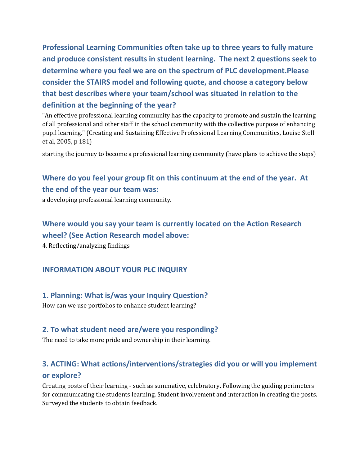**Professional Learning Communities often take up to three years to fully mature and produce consistent results in student learning. The next 2 questions seek to determine where you feel we are on the spectrum of PLC development.Please consider the STAIRS model and following quote, and choose a category below that best describes where your team/school was situated in relation to the definition at the beginning of the year?**

"An effective professional learning community has the capacity to promote and sustain the learning of all professional and other staff in the school community with the collective purpose of enhancing pupil learning." (Creating and Sustaining Effective Professional Learning Communities, Louise Stoll et al, 2005, p 181)

starting the journey to become a professional learning community (have plans to achieve the steps)

## **Where do you feel your group fit on this continuum at the end of the year. At the end of the year our team was:**

a developing professional learning community.

## **Where would you say your team is currently located on the Action Research wheel? (See Action Research model above:**

4. Reflecting/analyzing findings

#### **INFORMATION ABOUT YOUR PLC INQUIRY**

#### **1. Planning: What is/was your Inquiry Question?**

How can we use portfolios to enhance student learning?

## **2. To what student need are/were you responding?**

The need to take more pride and ownership in their learning.

## **3. ACTING: What actions/interventions/strategies did you or will you implement or explore?**

Creating posts of their learning - such as summative, celebratory. Following the guiding perimeters for communicating the students learning. Student involvement and interaction in creating the posts. Surveyed the students to obtain feedback.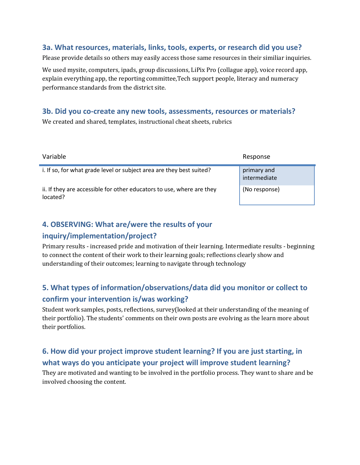## **3a. What resources, materials, links, tools, experts, or research did you use?**

Please provide details so others may easily access those same resources in their similiar inquiries.

We used mysite, computers, ipads, group discussions, LiPix Pro (collague app), voice record app, explain everything app, the reporting committee,Tech support people, literacy and numeracy performance standards from the district site.

## **3b. Did you co-create any new tools, assessments, resources or materials?**

We created and shared, templates, instructional cheat sheets, rubrics

| Variable                                                                          | Response                    |
|-----------------------------------------------------------------------------------|-----------------------------|
| i. If so, for what grade level or subject area are they best suited?              | primary and<br>intermediate |
| ii. If they are accessible for other educators to use, where are they<br>located? | (No response)               |

## **4. OBSERVING: What are/were the results of your**

## **inquiry/implementation/project?**

Primary results - increased pride and motivation of their learning. Intermediate results - beginning to connect the content of their work to their learning goals; reflections clearly show and understanding of their outcomes; learning to navigate through technology

# **5. What types of information/observations/data did you monitor or collect to confirm your intervention is/was working?**

Student work samples, posts, reflections, survey(looked at their understanding of the meaning of their portfolio). The students' comments on their own posts are evolving as the learn more about their portfolios.

# **6. How did your project improve student learning? If you are just starting, in what ways do you anticipate your project will improve student learning?**

They are motivated and wanting to be involved in the portfolio process. They want to share and be involved choosing the content.